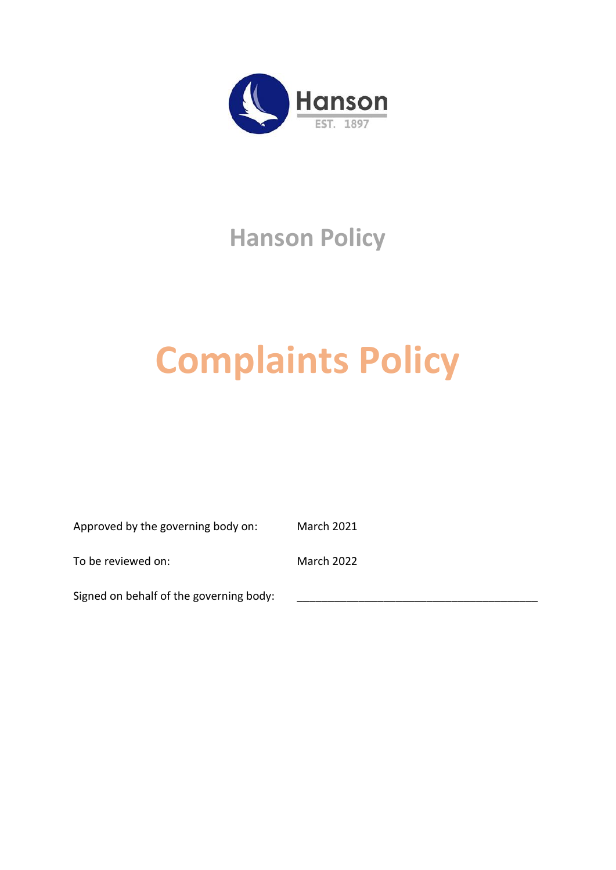

# **Hanson Policy**

# **Complaints Policy**

Approved by the governing body on: March 2021

To be reviewed on: March 2022

Signed on behalf of the governing body: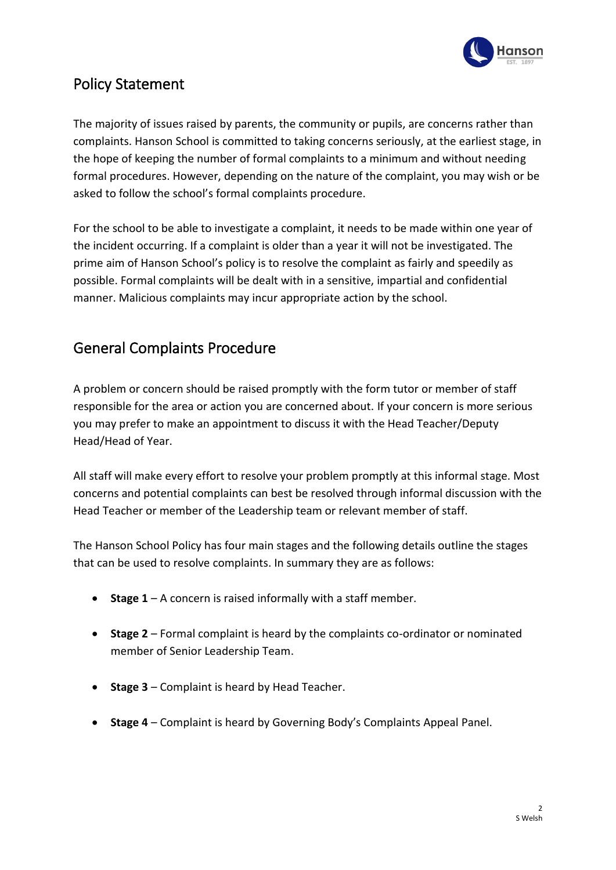

# Policy Statement

The majority of issues raised by parents, the community or pupils, are concerns rather than complaints. Hanson School is committed to taking concerns seriously, at the earliest stage, in the hope of keeping the number of formal complaints to a minimum and without needing formal procedures. However, depending on the nature of the complaint, you may wish or be asked to follow the school's formal complaints procedure.

For the school to be able to investigate a complaint, it needs to be made within one year of the incident occurring. If a complaint is older than a year it will not be investigated. The prime aim of Hanson School's policy is to resolve the complaint as fairly and speedily as possible. Formal complaints will be dealt with in a sensitive, impartial and confidential manner. Malicious complaints may incur appropriate action by the school.

# General Complaints Procedure

A problem or concern should be raised promptly with the form tutor or member of staff responsible for the area or action you are concerned about. If your concern is more serious you may prefer to make an appointment to discuss it with the Head Teacher/Deputy Head/Head of Year.

All staff will make every effort to resolve your problem promptly at this informal stage. Most concerns and potential complaints can best be resolved through informal discussion with the Head Teacher or member of the Leadership team or relevant member of staff.

The Hanson School Policy has four main stages and the following details outline the stages that can be used to resolve complaints. In summary they are as follows:

- **Stage 1**  A concern is raised informally with a staff member.
- **Stage 2**  Formal complaint is heard by the complaints co-ordinator or nominated member of Senior Leadership Team.
- **Stage 3**  Complaint is heard by Head Teacher.
- **Stage 4**  Complaint is heard by Governing Body's Complaints Appeal Panel.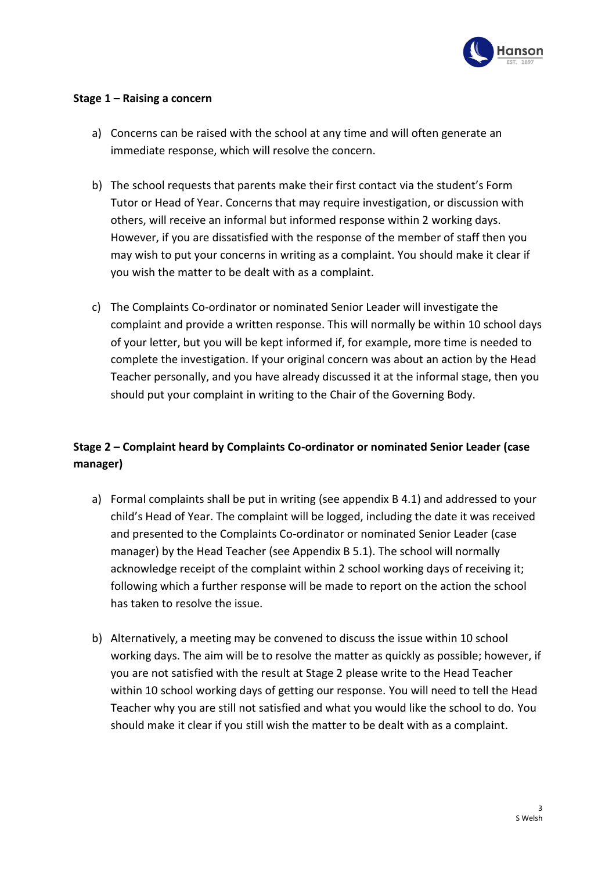

#### **Stage 1 – Raising a concern**

- a) Concerns can be raised with the school at any time and will often generate an immediate response, which will resolve the concern.
- b) The school requests that parents make their first contact via the student's Form Tutor or Head of Year. Concerns that may require investigation, or discussion with others, will receive an informal but informed response within 2 working days. However, if you are dissatisfied with the response of the member of staff then you may wish to put your concerns in writing as a complaint. You should make it clear if you wish the matter to be dealt with as a complaint.
- c) The Complaints Co-ordinator or nominated Senior Leader will investigate the complaint and provide a written response. This will normally be within 10 school days of your letter, but you will be kept informed if, for example, more time is needed to complete the investigation. If your original concern was about an action by the Head Teacher personally, and you have already discussed it at the informal stage, then you should put your complaint in writing to the Chair of the Governing Body.

#### **Stage 2 – Complaint heard by Complaints Co-ordinator or nominated Senior Leader (case manager)**

- a) Formal complaints shall be put in writing (see appendix B 4.1) and addressed to your child's Head of Year. The complaint will be logged, including the date it was received and presented to the Complaints Co-ordinator or nominated Senior Leader (case manager) by the Head Teacher (see Appendix B 5.1). The school will normally acknowledge receipt of the complaint within 2 school working days of receiving it; following which a further response will be made to report on the action the school has taken to resolve the issue.
- b) Alternatively, a meeting may be convened to discuss the issue within 10 school working days. The aim will be to resolve the matter as quickly as possible; however, if you are not satisfied with the result at Stage 2 please write to the Head Teacher within 10 school working days of getting our response. You will need to tell the Head Teacher why you are still not satisfied and what you would like the school to do. You should make it clear if you still wish the matter to be dealt with as a complaint.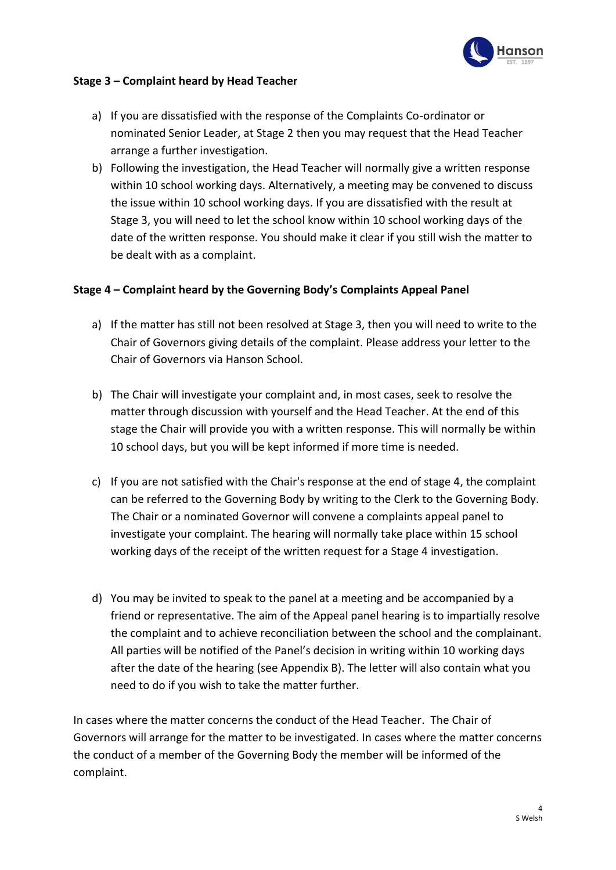

#### **Stage 3 – Complaint heard by Head Teacher**

- a) If you are dissatisfied with the response of the Complaints Co-ordinator or nominated Senior Leader, at Stage 2 then you may request that the Head Teacher arrange a further investigation.
- b) Following the investigation, the Head Teacher will normally give a written response within 10 school working days. Alternatively, a meeting may be convened to discuss the issue within 10 school working days. If you are dissatisfied with the result at Stage 3, you will need to let the school know within 10 school working days of the date of the written response. You should make it clear if you still wish the matter to be dealt with as a complaint.

#### **Stage 4 – Complaint heard by the Governing Body's Complaints Appeal Panel**

- a) If the matter has still not been resolved at Stage 3, then you will need to write to the Chair of Governors giving details of the complaint. Please address your letter to the Chair of Governors via Hanson School.
- b) The Chair will investigate your complaint and, in most cases, seek to resolve the matter through discussion with yourself and the Head Teacher. At the end of this stage the Chair will provide you with a written response. This will normally be within 10 school days, but you will be kept informed if more time is needed.
- c) If you are not satisfied with the Chair's response at the end of stage 4, the complaint can be referred to the Governing Body by writing to the Clerk to the Governing Body. The Chair or a nominated Governor will convene a complaints appeal panel to investigate your complaint. The hearing will normally take place within 15 school working days of the receipt of the written request for a Stage 4 investigation.
- d) You may be invited to speak to the panel at a meeting and be accompanied by a friend or representative. The aim of the Appeal panel hearing is to impartially resolve the complaint and to achieve reconciliation between the school and the complainant. All parties will be notified of the Panel's decision in writing within 10 working days after the date of the hearing (see Appendix B). The letter will also contain what you need to do if you wish to take the matter further.

In cases where the matter concerns the conduct of the Head Teacher. The Chair of Governors will arrange for the matter to be investigated. In cases where the matter concerns the conduct of a member of the Governing Body the member will be informed of the complaint.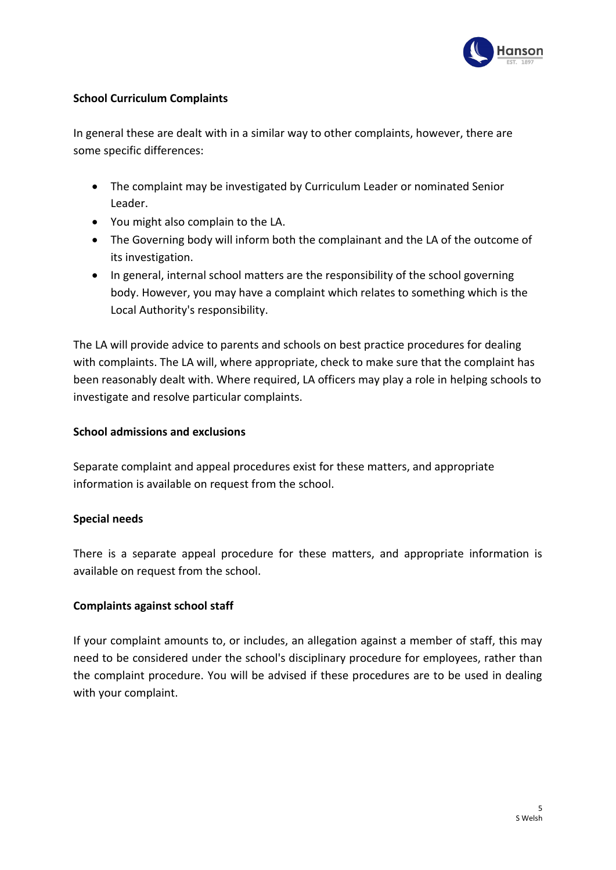

#### **School Curriculum Complaints**

In general these are dealt with in a similar way to other complaints, however, there are some specific differences:

- The complaint may be investigated by Curriculum Leader or nominated Senior Leader.
- You might also complain to the LA.
- The Governing body will inform both the complainant and the LA of the outcome of its investigation.
- In general, internal school matters are the responsibility of the school governing body. However, you may have a complaint which relates to something which is the Local Authority's responsibility.

The LA will provide advice to parents and schools on best practice procedures for dealing with complaints. The LA will, where appropriate, check to make sure that the complaint has been reasonably dealt with. Where required, LA officers may play a role in helping schools to investigate and resolve particular complaints.

#### **School admissions and exclusions**

Separate complaint and appeal procedures exist for these matters, and appropriate information is available on request from the school.

#### **Special needs**

There is a separate appeal procedure for these matters, and appropriate information is available on request from the school.

#### **Complaints against school staff**

If your complaint amounts to, or includes, an allegation against a member of staff, this may need to be considered under the school's disciplinary procedure for employees, rather than the complaint procedure. You will be advised if these procedures are to be used in dealing with your complaint.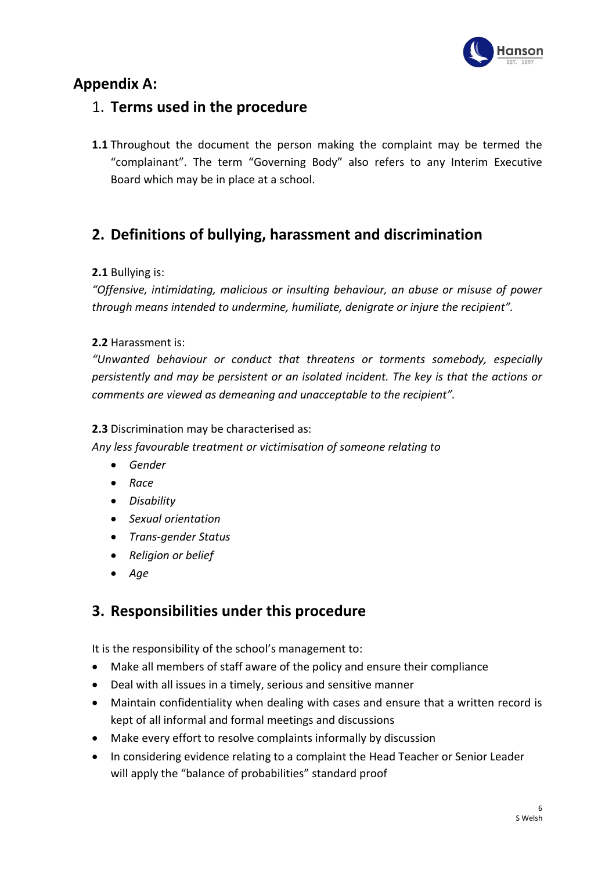

# **Appendix A:**

## 1. **Terms used in the procedure**

**1.1** Throughout the document the person making the complaint may be termed the "complainant". The term "Governing Body" also refers to any Interim Executive Board which may be in place at a school.

# **2. Definitions of bullying, harassment and discrimination**

#### **2.1** Bullying is:

*"Offensive, intimidating, malicious or insulting behaviour, an abuse or misuse of power through means intended to undermine, humiliate, denigrate or injure the recipient".*

#### **2.2** Harassment is:

*"Unwanted behaviour or conduct that threatens or torments somebody, especially persistently and may be persistent or an isolated incident. The key is that the actions or comments are viewed as demeaning and unacceptable to the recipient".*

#### **2.3** Discrimination may be characterised as:

*Any less favourable treatment or victimisation of someone relating to*

- *Gender*
- *Race*
- *Disability*
- *Sexual orientation*
- *Trans-gender Status*
- *Religion or belief*
- *Age*

# **3. Responsibilities under this procedure**

It is the responsibility of the school's management to:

- Make all members of staff aware of the policy and ensure their compliance
- Deal with all issues in a timely, serious and sensitive manner
- Maintain confidentiality when dealing with cases and ensure that a written record is kept of all informal and formal meetings and discussions
- Make every effort to resolve complaints informally by discussion
- In considering evidence relating to a complaint the Head Teacher or Senior Leader will apply the "balance of probabilities" standard proof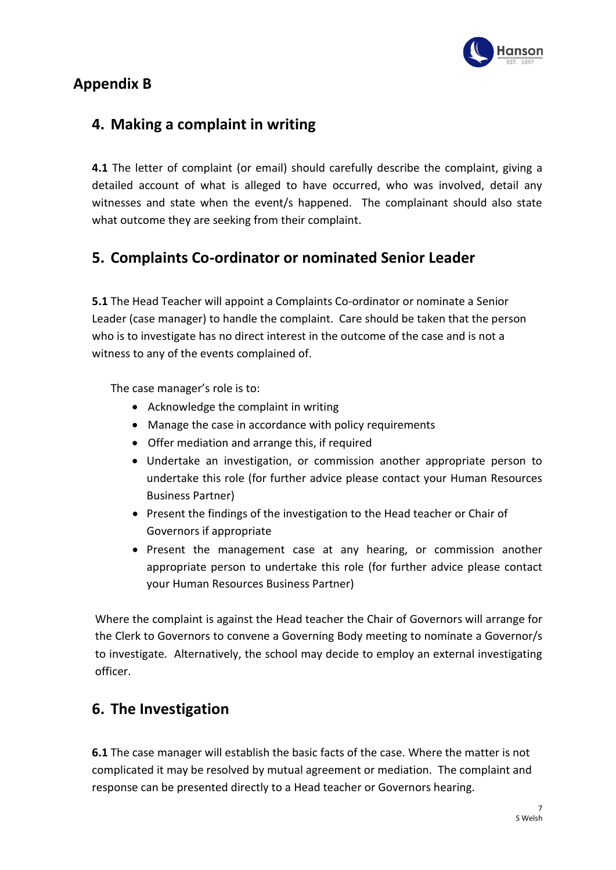

# **Appendix B**

# **4. Making a complaint in writing**

**4.1** The letter of complaint (or email) should carefully describe the complaint, giving a detailed account of what is alleged to have occurred, who was involved, detail any witnesses and state when the event/s happened. The complainant should also state what outcome they are seeking from their complaint.

# **5. Complaints Co-ordinator or nominated Senior Leader**

**5.1** The Head Teacher will appoint a Complaints Co-ordinator or nominate a Senior Leader (case manager) to handle the complaint. Care should be taken that the person who is to investigate has no direct interest in the outcome of the case and is not a witness to any of the events complained of.

The case manager's role is to:

- Acknowledge the complaint in writing
- Manage the case in accordance with policy requirements
- Offer mediation and arrange this, if required
- Undertake an investigation, or commission another appropriate person to undertake this role (for further advice please contact your Human Resources Business Partner)
- Present the findings of the investigation to the Head teacher or Chair of Governors if appropriate
- Present the management case at any hearing, or commission another appropriate person to undertake this role (for further advice please contact your Human Resources Business Partner)

Where the complaint is against the Head teacher the Chair of Governors will arrange for the Clerk to Governors to convene a Governing Body meeting to nominate a Governor/s to investigate. Alternatively, the school may decide to employ an external investigating officer.

# **6. The Investigation**

**6.1** The case manager will establish the basic facts of the case. Where the matter is not complicated it may be resolved by mutual agreement or mediation. The complaint and response can be presented directly to a Head teacher or Governors hearing.